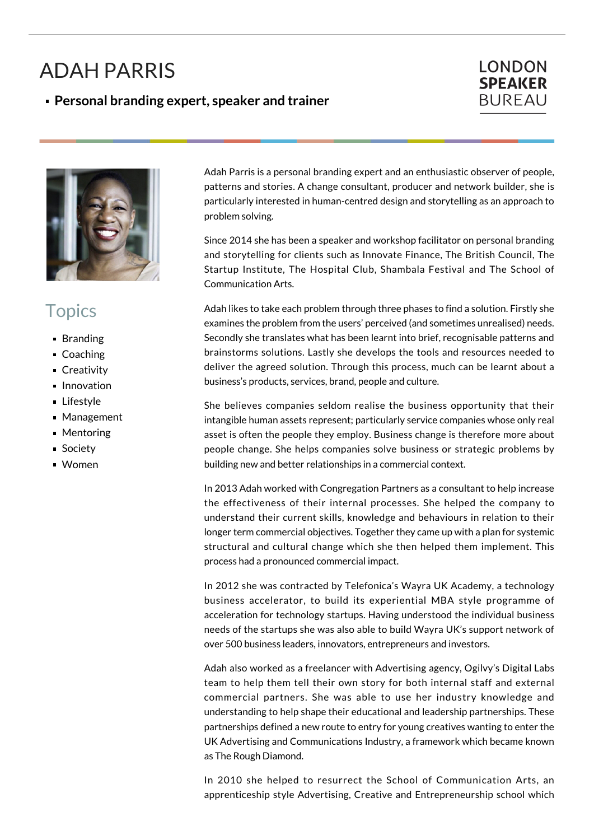## ADAH PARRIS

## **Personal branding expert, speaker and trainer**

## **LONDON SPEAKER BUREAU**



## **Topics**

- **Branding**
- Coaching
- Creativity
- **Innovation**
- **Lifestyle**
- Management
- Mentoring
- Society
- Women

Adah Parris is a personal branding expert and an enthusiastic observer of people, patterns and stories. A change consultant, producer and network builder, she is particularly interested in human-centred design and storytelling as an approach to problem solving.

Since 2014 she has been a speaker and workshop facilitator on personal branding and storytelling for clients such as Innovate Finance, The British Council, The Startup Institute, The Hospital Club, Shambala Festival and The School of Communication Arts.

Adah likes to take each problem through three phases to find a solution. Firstly she examines the problem from the users' perceived (and sometimes unrealised) needs. Secondly she translates what has been learnt into brief, recognisable patterns and brainstorms solutions. Lastly she develops the tools and resources needed to deliver the agreed solution. Through this process, much can be learnt about a business's products, services, brand, people and culture.

She believes companies seldom realise the business opportunity that their intangible human assets represent; particularly service companies whose only real asset is often the people they employ. Business change is therefore more about people change. She helps companies solve business or strategic problems by building new and better relationships in a commercial context.

In 2013 Adah worked with Congregation Partners as a consultant to help increase the effectiveness of their internal processes. She helped the company to understand their current skills, knowledge and behaviours in relation to their longer term commercial objectives. Together they came up with a plan for systemic structural and cultural change which she then helped them implement. This process had a pronounced commercial impact.

In 2012 she was contracted by Telefonica's Wayra UK Academy, a technology business accelerator, to build its experiential MBA style programme of acceleration for technology startups. Having understood the individual business needs of the startups she was also able to build Wayra UK's support network of over 500 business leaders, innovators, entrepreneurs and investors.

Adah also worked as a freelancer with Advertising agency, Ogilvy's Digital Labs team to help them tell their own story for both internal staff and external commercial partners. She was able to use her industry knowledge and understanding to help shape their educational and leadership partnerships. These partnerships defined a new route to entry for young creatives wanting to enter the UK Advertising and Communications Industry, a framework which became known as The Rough Diamond.

In 2010 she helped to resurrect the School of Communication Arts, an apprenticeship style Advertising, Creative and Entrepreneurship school which